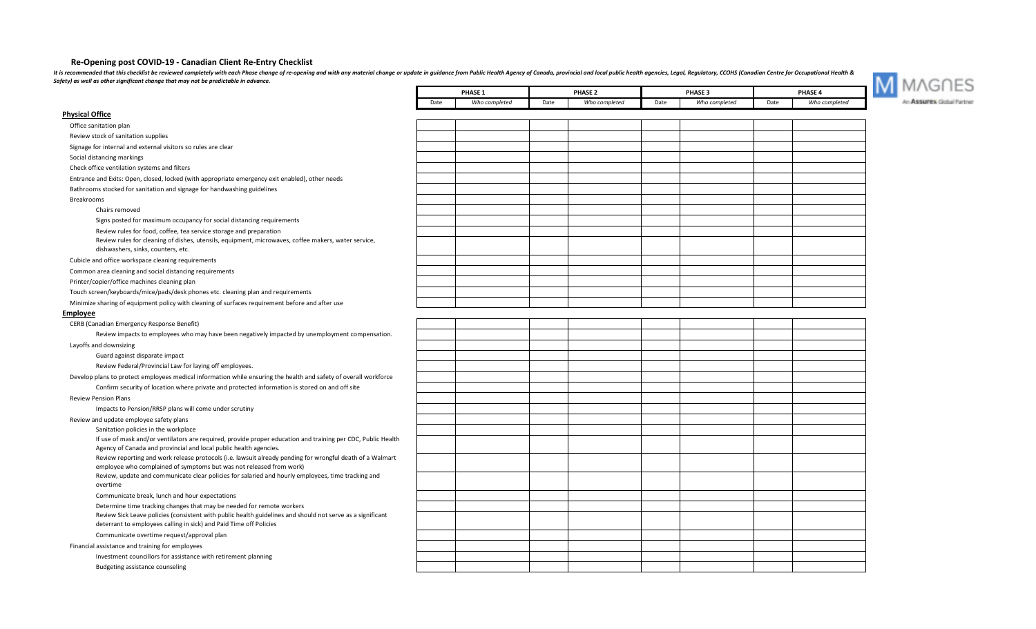## **Re-Opening post COVID-19 - Canadian Client Re-Entry Checklist**

It is recommended that this checklist be reviewed completely with each Phase change of re-opening and with any material change or update in guidance from Public Health Agency of Canada, provincial and local public health a *Safety) as well as other significant change that may not be predictable in advance.*



|                                                                                                                                                                                   |      | PHASE 1       | PHASE <sub>2</sub> |               |      | <b>PHASE 3</b> |      | PHASE 4       |
|-----------------------------------------------------------------------------------------------------------------------------------------------------------------------------------|------|---------------|--------------------|---------------|------|----------------|------|---------------|
|                                                                                                                                                                                   | Date | Who completed | Date               | Who completed | Date | Who completed  | Date | Who completed |
| <b>Physical Office</b>                                                                                                                                                            |      |               |                    |               |      |                |      |               |
| Office sanitation plan                                                                                                                                                            |      |               |                    |               |      |                |      |               |
| Review stock of sanitation supplies                                                                                                                                               |      |               |                    |               |      |                |      |               |
| Signage for internal and external visitors so rules are clear                                                                                                                     |      |               |                    |               |      |                |      |               |
| Social distancing markings                                                                                                                                                        |      |               |                    |               |      |                |      |               |
| Check office ventilation systems and filters                                                                                                                                      |      |               |                    |               |      |                |      |               |
| Entrance and Exits: Open, closed, locked (with appropriate emergency exit enabled), other needs                                                                                   |      |               |                    |               |      |                |      |               |
| Bathrooms stocked for sanitation and signage for handwashing guidelines                                                                                                           |      |               |                    |               |      |                |      |               |
| <b>Breakrooms</b>                                                                                                                                                                 |      |               |                    |               |      |                |      |               |
| Chairs removed                                                                                                                                                                    |      |               |                    |               |      |                |      |               |
| Signs posted for maximum occupancy for social distancing requirements                                                                                                             |      |               |                    |               |      |                |      |               |
| Review rules for food, coffee, tea service storage and preparation                                                                                                                |      |               |                    |               |      |                |      |               |
| Review rules for cleaning of dishes, utensils, equipment, microwaves, coffee makers, water service,                                                                               |      |               |                    |               |      |                |      |               |
| dishwashers, sinks, counters, etc.                                                                                                                                                |      |               |                    |               |      |                |      |               |
| Cubicle and office workspace cleaning requirements                                                                                                                                |      |               |                    |               |      |                |      |               |
| Common area cleaning and social distancing requirements                                                                                                                           |      |               |                    |               |      |                |      |               |
| Printer/copier/office machines cleaning plan                                                                                                                                      |      |               |                    |               |      |                |      |               |
| Touch screen/keyboards/mice/pads/desk phones etc. cleaning plan and requirements                                                                                                  |      |               |                    |               |      |                |      |               |
| Minimize sharing of equipment policy with cleaning of surfaces requirement before and after use                                                                                   |      |               |                    |               |      |                |      |               |
| <b>Employee</b>                                                                                                                                                                   |      |               |                    |               |      |                |      |               |
| CERB (Canadian Emergency Response Benefit)                                                                                                                                        |      |               |                    |               |      |                |      |               |
| Review impacts to employees who may have been negatively impacted by unemployment compensation.                                                                                   |      |               |                    |               |      |                |      |               |
| Layoffs and downsizing                                                                                                                                                            |      |               |                    |               |      |                |      |               |
| Guard against disparate impact                                                                                                                                                    |      |               |                    |               |      |                |      |               |
| Review Federal/Provincial Law for laying off employees.                                                                                                                           |      |               |                    |               |      |                |      |               |
| Develop plans to protect employees medical information while ensuring the health and safety of overall workforce                                                                  |      |               |                    |               |      |                |      |               |
| Confirm security of location where private and protected information is stored on and off site                                                                                    |      |               |                    |               |      |                |      |               |
| <b>Review Pension Plans</b>                                                                                                                                                       |      |               |                    |               |      |                |      |               |
| Impacts to Pension/RRSP plans will come under scrutiny                                                                                                                            |      |               |                    |               |      |                |      |               |
| Review and update employee safety plans                                                                                                                                           |      |               |                    |               |      |                |      |               |
| Sanitation policies in the workplace                                                                                                                                              |      |               |                    |               |      |                |      |               |
| If use of mask and/or ventilators are required, provide proper education and training per CDC, Public Health<br>Agency of Canada and provincial and local public health agencies. |      |               |                    |               |      |                |      |               |
| Review reporting and work release protocols (i.e. lawsuit already pending for wrongful death of a Walmart<br>employee who complained of symptoms but was not released from work)  |      |               |                    |               |      |                |      |               |
| Review, update and communicate clear policies for salaried and hourly employees, time tracking and<br>overtime                                                                    |      |               |                    |               |      |                |      |               |
| Communicate break, lunch and hour expectations                                                                                                                                    |      |               |                    |               |      |                |      |               |
| Determine time tracking changes that may be needed for remote workers                                                                                                             |      |               |                    |               |      |                |      |               |
| Review Sick Leave policies (consistent with public health guidelines and should not serve as a significant<br>deterrant to employees calling in sick) and Paid Time off Policies  |      |               |                    |               |      |                |      |               |
| Communicate overtime request/approval plan                                                                                                                                        |      |               |                    |               |      |                |      |               |
| Financial assistance and training for employees                                                                                                                                   |      |               |                    |               |      |                |      |               |
| Investment councillors for assistance with retirement planning                                                                                                                    |      |               |                    |               |      |                |      |               |
| Budgeting assistance counseling                                                                                                                                                   |      |               |                    |               |      |                |      |               |
|                                                                                                                                                                                   |      |               |                    |               |      |                |      |               |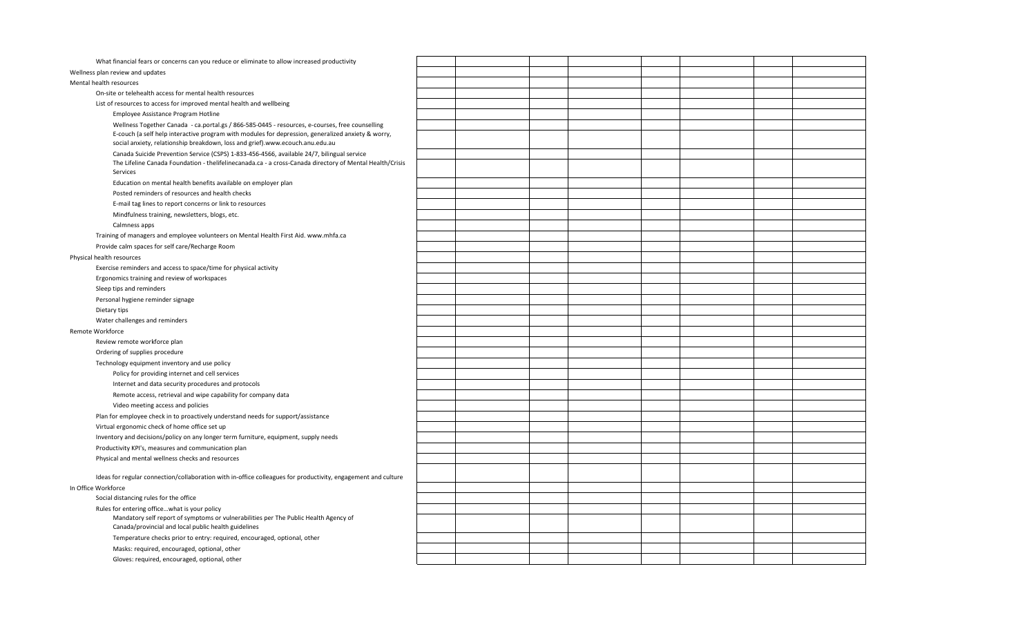| What financial fears or concerns can you reduce or eliminate to allow increased productivity                                                 |  |  |  |  |
|----------------------------------------------------------------------------------------------------------------------------------------------|--|--|--|--|
| Wellness plan review and updates                                                                                                             |  |  |  |  |
| Mental health resources                                                                                                                      |  |  |  |  |
| On-site or telehealth access for mental health resources                                                                                     |  |  |  |  |
| List of resources to access for improved mental health and wellbeing                                                                         |  |  |  |  |
| Employee Assistance Program Hotline                                                                                                          |  |  |  |  |
| Wellness Together Canada - ca.portal.gs / 866-585-0445 - resources, e-courses, free counselling                                              |  |  |  |  |
| E-couch (a self help interactive program with modules for depression, generalized anxiety & worry,                                           |  |  |  |  |
| social anxiety, relationship breakdown, loss and grief).www.ecouch.anu.edu.au                                                                |  |  |  |  |
| Canada Suicide Prevention Service (CSPS) 1-833-456-4566, available 24/7, bilingual service                                                   |  |  |  |  |
| The Lifeline Canada Foundation - thelifelinecanada.ca - a cross-Canada directory of Mental Health/Crisis<br>Services                         |  |  |  |  |
| Education on mental health benefits available on employer plan                                                                               |  |  |  |  |
| Posted reminders of resources and health checks                                                                                              |  |  |  |  |
| E-mail tag lines to report concerns or link to resources                                                                                     |  |  |  |  |
| Mindfulness training, newsletters, blogs, etc.                                                                                               |  |  |  |  |
| Calmness apps                                                                                                                                |  |  |  |  |
| Training of managers and employee volunteers on Mental Health First Aid. www.mhfa.ca                                                         |  |  |  |  |
| Provide calm spaces for self care/Recharge Room                                                                                              |  |  |  |  |
| Physical health resources                                                                                                                    |  |  |  |  |
| Exercise reminders and access to space/time for physical activity                                                                            |  |  |  |  |
| Ergonomics training and review of workspaces                                                                                                 |  |  |  |  |
| Sleep tips and reminders                                                                                                                     |  |  |  |  |
| Personal hygiene reminder signage                                                                                                            |  |  |  |  |
| Dietary tips                                                                                                                                 |  |  |  |  |
| Water challenges and reminders                                                                                                               |  |  |  |  |
| Remote Workforce                                                                                                                             |  |  |  |  |
| Review remote workforce plan                                                                                                                 |  |  |  |  |
| Ordering of supplies procedure                                                                                                               |  |  |  |  |
| Technology equipment inventory and use policy                                                                                                |  |  |  |  |
| Policy for providing internet and cell services                                                                                              |  |  |  |  |
| Internet and data security procedures and protocols                                                                                          |  |  |  |  |
| Remote access, retrieval and wipe capability for company data                                                                                |  |  |  |  |
| Video meeting access and policies                                                                                                            |  |  |  |  |
| Plan for employee check in to proactively understand needs for support/assistance                                                            |  |  |  |  |
| Virtual ergonomic check of home office set up                                                                                                |  |  |  |  |
| Inventory and decisions/policy on any longer term furniture, equipment, supply needs                                                         |  |  |  |  |
| Productivity KPI's, measures and communication plan                                                                                          |  |  |  |  |
| Physical and mental wellness checks and resources                                                                                            |  |  |  |  |
|                                                                                                                                              |  |  |  |  |
| Ideas for regular connection/collaboration with in-office colleagues for productivity, engagement and culture                                |  |  |  |  |
| In Office Workforce                                                                                                                          |  |  |  |  |
| Social distancing rules for the office                                                                                                       |  |  |  |  |
| Rules for entering officewhat is your policy                                                                                                 |  |  |  |  |
| Mandatory self report of symptoms or vulnerabilities per The Public Health Agency of<br>Canada/provincial and local public health guidelines |  |  |  |  |
| Temperature checks prior to entry: required, encouraged, optional, other                                                                     |  |  |  |  |
| Masks: required, encouraged, optional, other                                                                                                 |  |  |  |  |
| Gloves: required, encouraged, optional, other                                                                                                |  |  |  |  |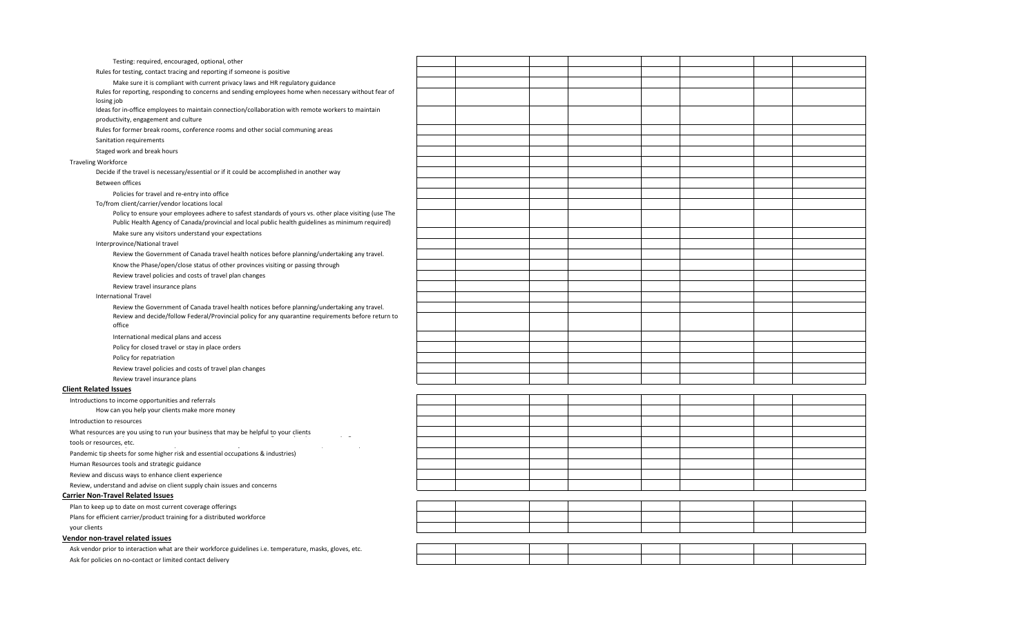| Testing: required, encouraged, optional, other                                                                                                                                                             |  |  |  |  |
|------------------------------------------------------------------------------------------------------------------------------------------------------------------------------------------------------------|--|--|--|--|
| Rules for testing, contact tracing and reporting if someone is positive                                                                                                                                    |  |  |  |  |
| Make sure it is compliant with current privacy laws and HR regulatory guidance                                                                                                                             |  |  |  |  |
| Rules for reporting, responding to concerns and sending employees home when necessary without fear of                                                                                                      |  |  |  |  |
| losing job                                                                                                                                                                                                 |  |  |  |  |
| Ideas for in-office employees to maintain connection/collaboration with remote workers to maintain<br>productivity, engagement and culture                                                                 |  |  |  |  |
| Rules for former break rooms, conference rooms and other social communing areas                                                                                                                            |  |  |  |  |
| Sanitation requirements                                                                                                                                                                                    |  |  |  |  |
| Staged work and break hours                                                                                                                                                                                |  |  |  |  |
| <b>Traveling Workforce</b>                                                                                                                                                                                 |  |  |  |  |
| Decide if the travel is necessary/essential or if it could be accomplished in another way                                                                                                                  |  |  |  |  |
| Between offices                                                                                                                                                                                            |  |  |  |  |
| Policies for travel and re-entry into office                                                                                                                                                               |  |  |  |  |
| To/from client/carrier/vendor locations local                                                                                                                                                              |  |  |  |  |
| Policy to ensure your employees adhere to safest standards of yours vs. other place visiting (use The<br>Public Health Agency of Canada/provincial and local public health guidelines as minimum required) |  |  |  |  |
| Make sure any visitors understand your expectations                                                                                                                                                        |  |  |  |  |
| Interprovince/National travel                                                                                                                                                                              |  |  |  |  |
| Review the Government of Canada travel health notices before planning/undertaking any travel.                                                                                                              |  |  |  |  |
| Know the Phase/open/close status of other provinces visiting or passing through                                                                                                                            |  |  |  |  |
| Review travel policies and costs of travel plan changes                                                                                                                                                    |  |  |  |  |
| Review travel insurance plans                                                                                                                                                                              |  |  |  |  |
| <b>International Travel</b>                                                                                                                                                                                |  |  |  |  |
| Review the Government of Canada travel health notices before planning/undertaking any travel.                                                                                                              |  |  |  |  |
| Review and decide/follow Federal/Provincial policy for any quarantine requirements before return to<br>office                                                                                              |  |  |  |  |
| International medical plans and access                                                                                                                                                                     |  |  |  |  |
| Policy for closed travel or stay in place orders                                                                                                                                                           |  |  |  |  |
| Policy for repatriation                                                                                                                                                                                    |  |  |  |  |
| Review travel policies and costs of travel plan changes                                                                                                                                                    |  |  |  |  |
| Review travel insurance plans                                                                                                                                                                              |  |  |  |  |
| <b>Client Related Issues</b>                                                                                                                                                                               |  |  |  |  |
| Introductions to income opportunities and referrals                                                                                                                                                        |  |  |  |  |
| How can you help your clients make more money                                                                                                                                                              |  |  |  |  |
| Introduction to resources                                                                                                                                                                                  |  |  |  |  |
| What resources are you using to run your business that may be helpful to your clients<br>$\sim$                                                                                                            |  |  |  |  |
| tools or resources, etc.                                                                                                                                                                                   |  |  |  |  |
| $\sim$<br>Pandemic tip sheets for some higher risk and essential occupations & industries)                                                                                                                 |  |  |  |  |
| Human Resources tools and strategic guidance                                                                                                                                                               |  |  |  |  |
| Review and discuss ways to enhance client experience                                                                                                                                                       |  |  |  |  |
| Review, understand and advise on client supply chain issues and concerns                                                                                                                                   |  |  |  |  |
| <b>Carrier Non-Travel Related Issues</b>                                                                                                                                                                   |  |  |  |  |
| Plan to keep up to date on most current coverage offerings                                                                                                                                                 |  |  |  |  |
| Plans for efficient carrier/product training for a distributed workforce                                                                                                                                   |  |  |  |  |
| your clients                                                                                                                                                                                               |  |  |  |  |
| Vendor non-travel related issues                                                                                                                                                                           |  |  |  |  |
| Ask vendor prior to interaction what are their workforce guidelines i.e. temperature, masks, gloves, etc.                                                                                                  |  |  |  |  |
| Ask for policies on no-contact or limited contact delivery                                                                                                                                                 |  |  |  |  |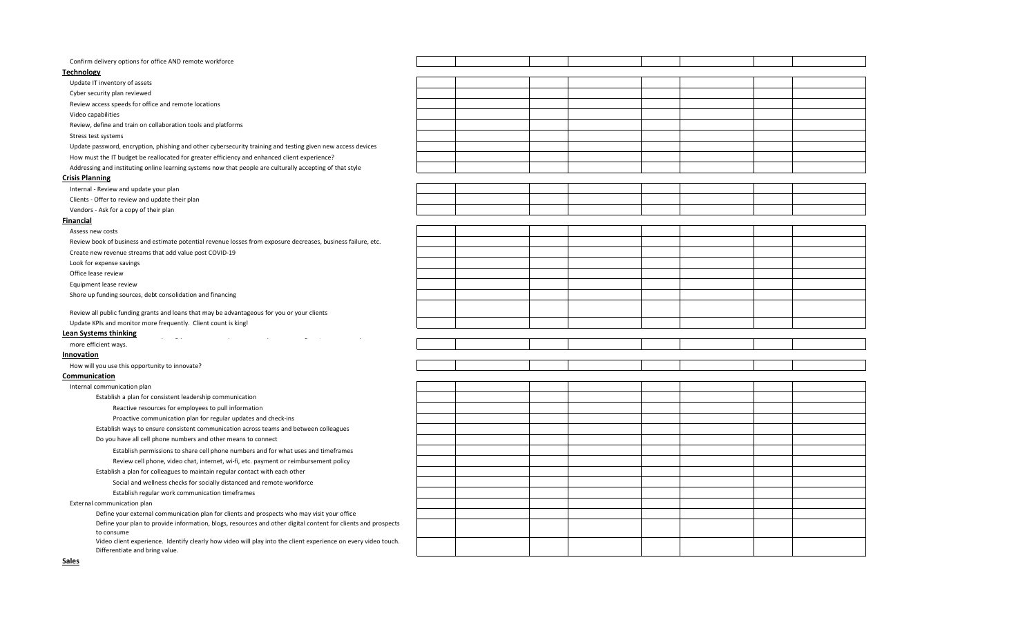| Confirm delivery options for office AND remote workforce                                                                                         |  |  |  |  |
|--------------------------------------------------------------------------------------------------------------------------------------------------|--|--|--|--|
| <b>Technology</b>                                                                                                                                |  |  |  |  |
| Update IT inventory of assets                                                                                                                    |  |  |  |  |
| Cyber security plan reviewed                                                                                                                     |  |  |  |  |
| Review access speeds for office and remote locations                                                                                             |  |  |  |  |
| Video capabilities                                                                                                                               |  |  |  |  |
| Review, define and train on collaboration tools and platforms                                                                                    |  |  |  |  |
| Stress test systems                                                                                                                              |  |  |  |  |
| Update password, encryption, phishing and other cybersecurity training and testing given new access devices                                      |  |  |  |  |
| How must the IT budget be reallocated for greater efficiency and enhanced client experience?                                                     |  |  |  |  |
| Addressing and instituting online learning systems now that people are culturally accepting of that style                                        |  |  |  |  |
| <b>Crisis Planning</b>                                                                                                                           |  |  |  |  |
| Internal - Review and update your plan                                                                                                           |  |  |  |  |
| Clients - Offer to review and update their plan                                                                                                  |  |  |  |  |
| Vendors - Ask for a copy of their plan                                                                                                           |  |  |  |  |
| Financial                                                                                                                                        |  |  |  |  |
| Assess new costs                                                                                                                                 |  |  |  |  |
| Review book of business and estimate potential revenue losses from exposure decreases, business failure, etc.                                    |  |  |  |  |
| Create new revenue streams that add value post COVID-19                                                                                          |  |  |  |  |
| Look for expense savings                                                                                                                         |  |  |  |  |
| Office lease review                                                                                                                              |  |  |  |  |
| Equipment lease review                                                                                                                           |  |  |  |  |
| Shore up funding sources, debt consolidation and financing                                                                                       |  |  |  |  |
|                                                                                                                                                  |  |  |  |  |
| Review all public funding grants and loans that may be advantageous for you or your clients                                                      |  |  |  |  |
| Update KPIs and monitor more frequently. Client count is king!                                                                                   |  |  |  |  |
| <b>Lean Systems thinking</b><br>$\epsilon = -\omega/\epsilon$                                                                                    |  |  |  |  |
| more efficient ways.                                                                                                                             |  |  |  |  |
| Innovation                                                                                                                                       |  |  |  |  |
| How will you use this opportunity to innovate?                                                                                                   |  |  |  |  |
| Communication                                                                                                                                    |  |  |  |  |
| Internal communication plan                                                                                                                      |  |  |  |  |
| Establish a plan for consistent leadership communication                                                                                         |  |  |  |  |
| Reactive resources for employees to pull information                                                                                             |  |  |  |  |
| Proactive communication plan for regular updates and check-ins                                                                                   |  |  |  |  |
| Establish ways to ensure consistent communication across teams and between colleagues                                                            |  |  |  |  |
| Do you have all cell phone numbers and other means to connect                                                                                    |  |  |  |  |
| Establish permissions to share cell phone numbers and for what uses and timeframes                                                               |  |  |  |  |
| Review cell phone, video chat, internet, wi-fi, etc. payment or reimbursement policy                                                             |  |  |  |  |
| Establish a plan for colleagues to maintain regular contact with each other                                                                      |  |  |  |  |
| Social and wellness checks for socially distanced and remote workforce                                                                           |  |  |  |  |
| Establish regular work communication timeframes                                                                                                  |  |  |  |  |
| External communication plan                                                                                                                      |  |  |  |  |
| Define your external communication plan for clients and prospects who may visit your office                                                      |  |  |  |  |
| Define your plan to provide information, blogs, resources and other digital content for clients and prospects<br>to consume                      |  |  |  |  |
| Video client experience. Identify clearly how video will play into the client experience on every video touch.<br>Differentiate and bring value. |  |  |  |  |